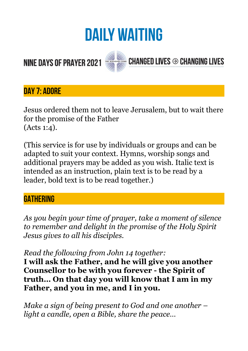# **DAILY WAITING**

**CHANGED LIVES <sup>→</sup> CHANGING LIVES** 

# **NINE DAYS OF PRAYER 2021**



# **DAY 7: ADORE**

Jesus ordered them not to leave Jerusalem, but to wait there for the promise of the Father (Acts 1:4).

(This service is for use by individuals or groups and can be adapted to suit your context. Hymns, worship songs and additional prayers may be added as you wish. Italic text is intended as an instruction, plain text is to be read by a leader, bold text is to be read together.)

## **GATHERING**

*As you begin your time of prayer, take a moment of silence to remember and delight in the promise of the Holy Spirit Jesus gives to all his disciples.* 

*Read the following from John 14 together:* 

**I will ask the Father, and he will give you another Counsellor to be with you forever - the Spirit of truth… On that day you will know that I am in my Father, and you in me, and I in you.** 

*Make a sign of being present to God and one another – light a candle, open a Bible, share the peace…*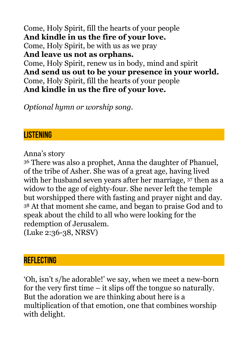Come, Holy Spirit, fill the hearts of your people **And kindle in us the fire of your love.**  Come, Holy Spirit, be with us as we pray **And leave us not as orphans.**  Come, Holy Spirit, renew us in body, mind and spirit **And send us out to be your presence in your world.**  Come, Holy Spirit, fill the hearts of your people **And kindle in us the fire of your love.** 

*Optional hymn or worship song.* 

## **LISTENING**

Anna's story

36 There was also a prophet, Anna the daughter of Phanuel, of the tribe of Asher. She was of a great age, having lived with her husband seven years after her marriage, 37 then as a widow to the age of eighty-four. She never left the temple but worshipped there with fasting and prayer night and day. 38 At that moment she came, and began to praise God and to speak about the child to all who were looking for the redemption of Jerusalem. (Luke 2:36-38, NRSV)

#### **REFLECTING**

'Oh, isn't s/he adorable!' we say, when we meet a new-born for the very first time – it slips off the tongue so naturally. But the adoration we are thinking about here is a multiplication of that emotion, one that combines worship with delight.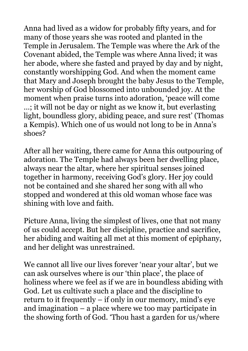Anna had lived as a widow for probably fifty years, and for many of those years she was rooted and planted in the Temple in Jerusalem. The Temple was where the Ark of the Covenant abided, the Temple was where Anna lived; it was her abode, where she fasted and prayed by day and by night, constantly worshipping God. And when the moment came that Mary and Joseph brought the baby Jesus to the Temple, her worship of God blossomed into unbounded joy. At the moment when praise turns into adoration, 'peace will come …; it will not be day or night as we know it, but everlasting light, boundless glory, abiding peace, and sure rest' (Thomas a Kempis). Which one of us would not long to be in Anna's shoes?

After all her waiting, there came for Anna this outpouring of adoration. The Temple had always been her dwelling place, always near the altar, where her spiritual senses joined together in harmony, receiving God's glory. Her joy could not be contained and she shared her song with all who stopped and wondered at this old woman whose face was shining with love and faith.

Picture Anna, living the simplest of lives, one that not many of us could accept. But her discipline, practice and sacrifice, her abiding and waiting all met at this moment of epiphany, and her delight was unrestrained.

We cannot all live our lives forever 'near your altar', but we can ask ourselves where is our 'thin place', the place of holiness where we feel as if we are in boundless abiding with God. Let us cultivate such a place and the discipline to return to it frequently – if only in our memory, mind's eye and imagination – a place where we too may participate in the showing forth of God. 'Thou hast a garden for us/where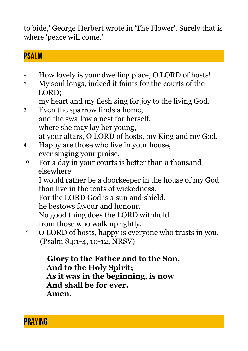to bide,' George Herbert wrote in 'The Flower'. Surely that is where 'peace will come.'

#### **PSALM**

- <sup>1</sup> How lovely is your dwelling place, O LORD of hosts! <sup>2</sup> My soul longs, indeed it faints for the courts of the
- LORD; my heart and my flesh sing for joy to the living God.
- 3 Even the sparrow finds a home, and the swallow a nest for herself, where she may lay her young, at your altars, O LORD of hosts, my King and my God.
- 4 Happy are those who live in your house, ever singing your praise.
- 10 For a day in your courts is better than a thousand elsewhere.

I would rather be a doorkeeper in the house of my God than live in the tents of wickedness.

- <sup>11</sup> For the LORD God is a sun and shield; he bestows favour and honour. No good thing does the LORD withhold from those who walk uprightly.
- 12 O LORD of hosts, happy is everyone who trusts in you. (Psalm 84:1-4, 10-12, NRSV)

 **Glory to the Father and to the Son, And to the Holy Spirit; As it was in the beginning, is now And shall be for ever. Amen.** 

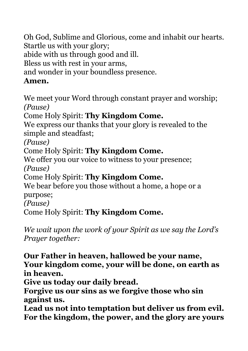Oh God, Sublime and Glorious, come and inhabit our hearts.

Startle us with your glory;

abide with us through good and ill.

Bless us with rest in your arms,

and wonder in your boundless presence.

#### **Amen.**

We meet your Word through constant prayer and worship; *(Pause)* 

Come Holy Spirit: **Thy Kingdom Come.**

We express our thanks that your glory is revealed to the simple and steadfast;

*(Pause)* 

#### Come Holy Spirit: **Thy Kingdom Come.**

We offer you our voice to witness to your presence; *(Pause)* 

Come Holy Spirit: **Thy Kingdom Come.**

We bear before you those without a home, a hope or a purpose;

*(Pause)* 

#### Come Holy Spirit: **Thy Kingdom Come.**

*We wait upon the work of your Spirit as we say the Lord's Prayer together:* 

**Our Father in heaven, hallowed be your name, Your kingdom come, your will be done, on earth as in heaven.** 

**Give us today our daily bread.** 

**Forgive us our sins as we forgive those who sin against us.** 

**Lead us not into temptation but deliver us from evil. For the kingdom, the power, and the glory are yours**